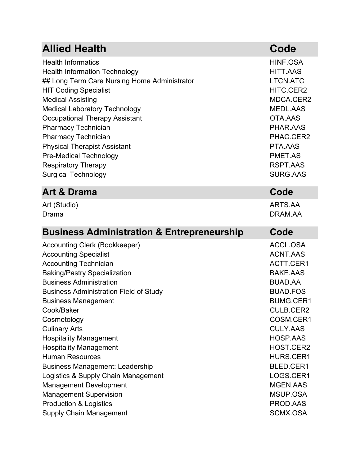| <b>Allied Health</b>                                  | Code             |
|-------------------------------------------------------|------------------|
| <b>Health Informatics</b>                             | HINF.OSA         |
| <b>Health Information Technology</b>                  | <b>HITT.AAS</b>  |
| ## Long Term Care Nursing Home Administrator          | <b>LTCN.ATC</b>  |
| <b>HIT Coding Specialist</b>                          | HITC.CER2        |
| <b>Medical Assisting</b>                              | MDCA.CER2        |
| <b>Medical Laboratory Technology</b>                  | <b>MEDL.AAS</b>  |
| <b>Occupational Therapy Assistant</b>                 | OTA.AAS          |
| <b>Pharmacy Technician</b>                            | PHAR.AAS         |
| <b>Pharmacy Technician</b>                            | PHAC.CER2        |
| <b>Physical Therapist Assistant</b>                   | PTA.AAS          |
| <b>Pre-Medical Technology</b>                         | PMET.AS          |
| <b>Respiratory Therapy</b>                            | <b>RSPT.AAS</b>  |
| <b>Surgical Technology</b>                            | <b>SURG.AAS</b>  |
| <b>Art &amp; Drama</b>                                | Code             |
| Art (Studio)                                          | ARTS.AA          |
| Drama                                                 | DRAM.AA          |
| <b>Business Administration &amp; Entrepreneurship</b> | Code             |
|                                                       |                  |
| Accounting Clerk (Bookkeeper)                         | ACCL.OSA         |
| <b>Accounting Specialist</b>                          | <b>ACNT.AAS</b>  |
| <b>Accounting Technician</b>                          | ACTT.CER1        |
| <b>Baking/Pastry Specialization</b>                   | <b>BAKE.AAS</b>  |
| <b>Business Administration</b>                        | <b>BUAD.AA</b>   |
| <b>Business Administration Field of Study</b>         | <b>BUAD.FOS</b>  |
| <b>Business Management</b>                            | <b>BUMG.CER1</b> |
| Cook/Baker                                            | <b>CULB.CER2</b> |
| Cosmetology                                           | COSM.CER1        |
| <b>Culinary Arts</b>                                  | <b>CULY.AAS</b>  |
| <b>Hospitality Management</b>                         | HOSP.AAS         |
| <b>Hospitality Management</b>                         | HOST.CER2        |
| <b>Human Resources</b>                                | HURS.CER1        |
| <b>Business Management: Leadership</b>                | BLED.CER1        |
| Logistics & Supply Chain Management                   | LOGS.CER1        |
| <b>Management Development</b>                         | <b>MGEN.AAS</b>  |
| <b>Management Supervision</b>                         | MSUP.OSA         |
| <b>Production &amp; Logistics</b>                     | PROD.AAS         |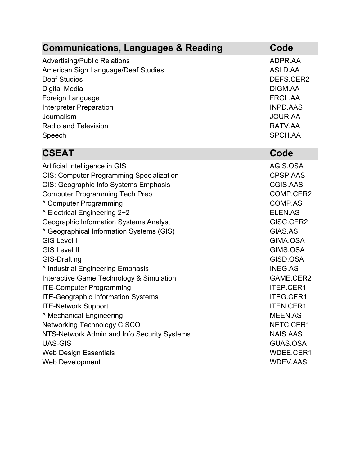| <b>Communications, Languages &amp; Reading</b>  | Code             |
|-------------------------------------------------|------------------|
| <b>Advertising/Public Relations</b>             | ADPR.AA          |
| American Sign Language/Deaf Studies             | ASLD.AA          |
| <b>Deaf Studies</b>                             | DEFS.CER2        |
| <b>Digital Media</b>                            | DIGM.AA          |
| Foreign Language                                | FRGL.AA          |
| <b>Interpreter Preparation</b>                  | <b>INPD.AAS</b>  |
| Journalism                                      | <b>JOUR.AA</b>   |
| <b>Radio and Television</b>                     | RATV.AA          |
| Speech                                          | SPCH.AA          |
| <b>CSEAT</b>                                    | Code             |
| Artificial Intelligence in GIS                  | AGIS.OSA         |
| <b>CIS: Computer Programming Specialization</b> | <b>CPSP.AAS</b>  |
| CIS: Geographic Info Systems Emphasis           | <b>CGIS.AAS</b>  |
| <b>Computer Programming Tech Prep</b>           | COMP.CER2        |
| <sup>^</sup> Computer Programming               | <b>COMP.AS</b>   |
| ^ Electrical Engineering 2+2                    | <b>ELEN.AS</b>   |
| <b>Geographic Information Systems Analyst</b>   | GISC.CER2        |
| ^ Geographical Information Systems (GIS)        | GIAS.AS          |
| <b>GIS Level I</b>                              | GIMA.OSA         |
| <b>GIS Level II</b>                             | GIMS.OSA         |
| <b>GIS-Drafting</b>                             | GISD.OSA         |
| <sup>^</sup> Industrial Engineering Emphasis    | <b>INEG.AS</b>   |
| Interactive Game Technology & Simulation        | GAME.CER2        |
| <b>ITE-Computer Programming</b>                 | ITEP.CER1        |
| <b>ITE-Geographic Information Systems</b>       | <b>ITEG.CER1</b> |
| <b>ITE-Network Support</b>                      | <b>ITEN.CER1</b> |
| ^ Mechanical Engineering                        | <b>MEEN.AS</b>   |
| <b>Networking Technology CISCO</b>              | NETC.CER1        |
| NTS-Network Admin and Info Security Systems     | <b>NAIS.AAS</b>  |
| <b>UAS-GIS</b>                                  | <b>GUAS.OSA</b>  |
| <b>Web Design Essentials</b>                    | WDEE.CER1        |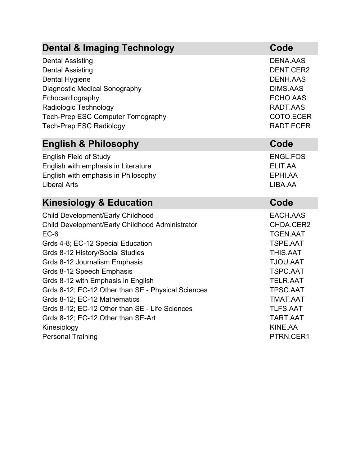| <b>Dental &amp; Imaging Technology</b>                                                                                                                                                                                                                                                                                                                                                                                                                                          | Code                                                                                                                                                                                               |
|---------------------------------------------------------------------------------------------------------------------------------------------------------------------------------------------------------------------------------------------------------------------------------------------------------------------------------------------------------------------------------------------------------------------------------------------------------------------------------|----------------------------------------------------------------------------------------------------------------------------------------------------------------------------------------------------|
| <b>Dental Assisting</b><br><b>Dental Assisting</b><br><b>Dental Hygiene</b><br><b>Diagnostic Medical Sonography</b><br>Echocardiography<br>Radiologic Technology<br><b>Tech-Prep ESC Computer Tomography</b><br><b>Tech-Prep ESC Radiology</b>                                                                                                                                                                                                                                  | <b>DENA, AAS</b><br>DENT.CER2<br><b>DENH.AAS</b><br><b>DIMS.AAS</b><br>ECHO.AAS<br>RADT.AAS<br>COTO.ECER<br>RADT.ECER                                                                              |
| <b>English &amp; Philosophy</b>                                                                                                                                                                                                                                                                                                                                                                                                                                                 | Code                                                                                                                                                                                               |
| <b>English Field of Study</b><br>English with emphasis in Literature<br>English with emphasis in Philosophy<br><b>Liberal Arts</b>                                                                                                                                                                                                                                                                                                                                              | <b>ENGL.FOS</b><br>ELIT.AA<br>EPHI.AA<br>LIBA.AA                                                                                                                                                   |
|                                                                                                                                                                                                                                                                                                                                                                                                                                                                                 |                                                                                                                                                                                                    |
| <b>Kinesiology &amp; Education</b>                                                                                                                                                                                                                                                                                                                                                                                                                                              | Code                                                                                                                                                                                               |
| <b>Child Development/Early Childhood</b><br>Child Development/Early Childhood Administrator<br>$EC-6$<br>Grds 4-8; EC-12 Special Education<br>Grds 8-12 History/Social Studies<br>Grds 8-12 Journalism Emphasis<br>Grds 8-12 Speech Emphasis<br>Grds 8-12 with Emphasis in English<br>Grds 8-12; EC-12 Other than SE - Physical Sciences<br>Grds 8-12; EC-12 Mathematics<br>Grds 8-12; EC-12 Other than SE - Life Sciences<br>Grds 8-12; EC-12 Other than SE-Art<br>Kinesiology | EACH.AAS<br>CHDA.CER2<br><b>TGEN.AAT</b><br>TSPE.AAT<br>THIS.AAT<br><b>TJOU.AAT</b><br><b>TSPC.AAT</b><br><b>TELR.AAT</b><br>TPSC.AAT<br><b>TMAT.AAT</b><br><b>TLFS.AAT</b><br>TART.AAT<br>KINE.AA |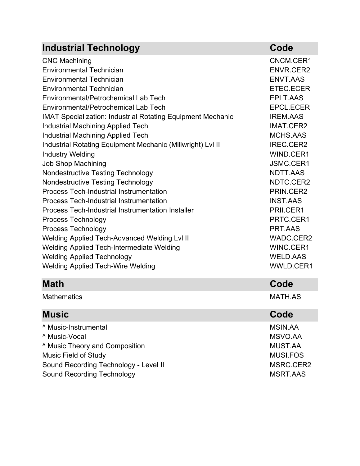| <b>Industrial Technology</b>                                       | Code             |
|--------------------------------------------------------------------|------------------|
| <b>CNC Machining</b>                                               | CNCM.CER1        |
| <b>Environmental Technician</b>                                    | <b>ENVR.CER2</b> |
| <b>Environmental Technician</b>                                    | <b>ENVT.AAS</b>  |
| <b>Environmental Technician</b>                                    | ETEC.ECER        |
| Environmental/Petrochemical Lab Tech                               | EPLT.AAS         |
| Environmental/Petrochemical Lab Tech                               | <b>EPCL.ECER</b> |
| <b>IMAT Specialization: Industrial Rotating Equipment Mechanic</b> | <b>IREM.AAS</b>  |
| <b>Industrial Machining Applied Tech</b>                           | <b>IMAT.CER2</b> |
| <b>Industrial Machining Applied Tech</b>                           | MCHS.AAS         |
| Industrial Rotating Equipment Mechanic (Millwright) Lvl II         | <b>IREC.CER2</b> |
| <b>Industry Welding</b>                                            | WIND.CER1        |
| <b>Job Shop Machining</b>                                          | JSMC.CER1        |
| <b>Nondestructive Testing Technology</b>                           | NDTT.AAS         |
| <b>Nondestructive Testing Technology</b>                           | NDTC.CER2        |
| <b>Process Tech-Industrial Instrumentation</b>                     | PRIN.CER2        |
| <b>Process Tech-Industrial Instrumentation</b>                     | <b>INST.AAS</b>  |
| <b>Process Tech-Industrial Instrumentation Installer</b>           | PRII.CER1        |
| Process Technology                                                 | PRTC.CER1        |
| <b>Process Technology</b>                                          | PRT.AAS          |
| Welding Applied Tech-Advanced Welding Lvl II                       | WADC.CER2        |
| <b>Welding Applied Tech-Intermediate Welding</b>                   | WINC.CER1        |
| <b>Welding Applied Technology</b>                                  | <b>WELD.AAS</b>  |
| <b>Welding Applied Tech-Wire Welding</b>                           | WWLD.CER1        |
| <b>Math</b>                                                        | Code             |
| <b>Mathematics</b>                                                 | <b>MATH.AS</b>   |
| <b>Music</b>                                                       | Code             |
| <sup>^</sup> Music-Instrumental                                    | <b>MSIN.AA</b>   |
| ^ Music-Vocal                                                      | MSVO.AA          |
| <sup>^</sup> Music Theory and Composition                          | <b>MUST.AA</b>   |
| <b>Music Field of Study</b>                                        | <b>MUSI.FOS</b>  |
| Sound Recording Technology - Level II                              | MSRC.CER2        |
| <b>Sound Recording Technology</b>                                  | <b>MSRT.AAS</b>  |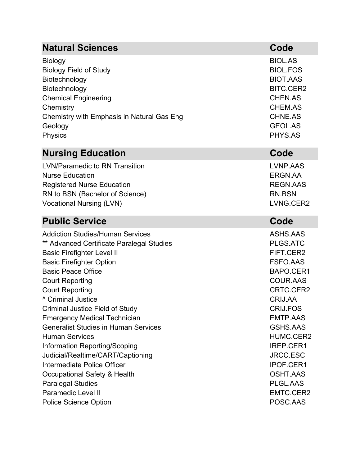| <b>Natural Sciences</b>                     | Code             |
|---------------------------------------------|------------------|
| <b>Biology</b>                              | <b>BIOL.AS</b>   |
| <b>Biology Field of Study</b>               | <b>BIOL.FOS</b>  |
| Biotechnology                               | <b>BIOT.AAS</b>  |
| Biotechnology                               | <b>BITC.CER2</b> |
| <b>Chemical Engineering</b>                 | <b>CHEN.AS</b>   |
| Chemistry                                   | <b>CHEM.AS</b>   |
| Chemistry with Emphasis in Natural Gas Eng  | <b>CHNE.AS</b>   |
| Geology                                     | <b>GEOL.AS</b>   |
| Physics                                     | PHYS.AS          |
| <b>Nursing Education</b>                    | Code             |
| <b>LVN/Paramedic to RN Transition</b>       | LVNP.AAS         |
| <b>Nurse Education</b>                      | ERGN.AA          |
| <b>Registered Nurse Education</b>           | <b>REGN.AAS</b>  |
| RN to BSN (Bachelor of Science)             | <b>RN.BSN</b>    |
| <b>Vocational Nursing (LVN)</b>             | LVNG.CER2        |
| <b>Public Service</b>                       | Code             |
| <b>Addiction Studies/Human Services</b>     | ASHS.AAS         |
| ** Advanced Certificate Paralegal Studies   | PLGS.ATC         |
| <b>Basic Firefighter Level II</b>           | FIFT.CER2        |
| <b>Basic Firefighter Option</b>             | <b>FSFO.AAS</b>  |
| <b>Basic Peace Office</b>                   | BAPO.CER1        |
| <b>Court Reporting</b>                      | <b>COUR.AAS</b>  |
| <b>Court Reporting</b>                      | CRTC.CER2        |
| <sup>^</sup> Criminal Justice               | CRIJ.AA          |
| <b>Criminal Justice Field of Study</b>      | <b>CRIJ.FOS</b>  |
| <b>Emergency Medical Technician</b>         | <b>EMTP.AAS</b>  |
| <b>Generalist Studies in Human Services</b> | <b>GSHS.AAS</b>  |
| <b>Human Services</b>                       | HUMC.CER2        |
| Information Reporting/Scoping               | IREP.CER1        |
| Judicial/Realtime/CART/Captioning           | <b>JRCC.ESC</b>  |
| Intermediate Police Officer                 | IPOF.CER1        |
| Occupational Safety & Health                | <b>OSHT.AAS</b>  |
| <b>Paralegal Studies</b>                    | PLGL.AAS         |
| <b>Paramedic Level II</b>                   | EMTC.CER2        |
| <b>Police Science Option</b>                | POSC.AAS         |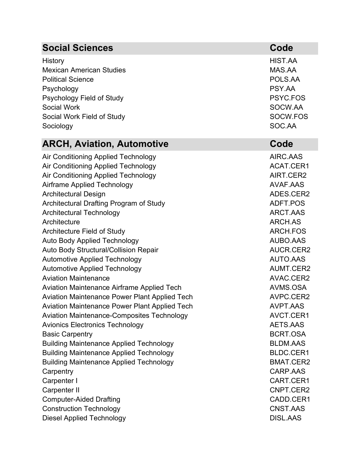| <b>Social Sciences</b>                                                                                                                                                                                                                                                                                                                                                                                                                                                                                                                                                                                                                                                                                                                                                                                                                                                                                                                                                              | Code                                                                                                                                                                                                                                                                                                                              |
|-------------------------------------------------------------------------------------------------------------------------------------------------------------------------------------------------------------------------------------------------------------------------------------------------------------------------------------------------------------------------------------------------------------------------------------------------------------------------------------------------------------------------------------------------------------------------------------------------------------------------------------------------------------------------------------------------------------------------------------------------------------------------------------------------------------------------------------------------------------------------------------------------------------------------------------------------------------------------------------|-----------------------------------------------------------------------------------------------------------------------------------------------------------------------------------------------------------------------------------------------------------------------------------------------------------------------------------|
| History<br><b>Mexican American Studies</b><br><b>Political Science</b><br>Psychology<br>Psychology Field of Study<br><b>Social Work</b><br>Social Work Field of Study<br>Sociology                                                                                                                                                                                                                                                                                                                                                                                                                                                                                                                                                                                                                                                                                                                                                                                                  | HIST.AA<br>MAS.AA<br>POLS.AA<br>PSY.AA<br>PSYC.FOS<br>SOCW.AA<br>SOCW.FOS<br>SOC.AA                                                                                                                                                                                                                                               |
| <b>ARCH, Aviation, Automotive</b>                                                                                                                                                                                                                                                                                                                                                                                                                                                                                                                                                                                                                                                                                                                                                                                                                                                                                                                                                   | Code                                                                                                                                                                                                                                                                                                                              |
| Air Conditioning Applied Technology<br>Air Conditioning Applied Technology<br>Air Conditioning Applied Technology<br><b>Airframe Applied Technology</b><br><b>Architectural Design</b><br>Architectural Drafting Program of Study<br><b>Architectural Technology</b><br>Architecture<br><b>Architecture Field of Study</b><br><b>Auto Body Applied Technology</b><br><b>Auto Body Structural/Collision Repair</b><br><b>Automotive Applied Technology</b><br><b>Automotive Applied Technology</b><br><b>Aviation Maintenance</b><br>Aviation Maintenance Airframe Applied Tech<br><b>Aviation Maintenance Power Plant Applied Tech</b><br>Aviation Maintenance Power Plant Applied Tech<br><b>Aviation Maintenance-Composites Technology</b><br><b>Avionics Electronics Technology</b><br><b>Basic Carpentry</b><br><b>Building Maintenance Applied Technology</b><br><b>Building Maintenance Applied Technology</b><br><b>Building Maintenance Applied Technology</b><br>Carpentry | AIRC.AAS<br>ACAT.CER1<br>AIRT.CER2<br>AVAF.AAS<br>ADES.CER2<br>ADFT.POS<br>ARCT.AAS<br>ARCH.AS<br>ARCH.FOS<br>AUBO.AAS<br>AUCR.CER2<br><b>AUTO.AAS</b><br>AUMT.CER2<br>AVAC.CER2<br>AVMS.OSA<br>AVPC.CER2<br><b>AVPT.AAS</b><br>AVCT.CER1<br>AETS.AAS<br><b>BCRT.OSA</b><br><b>BLDM.AAS</b><br>BLDC.CER1<br>BMAT.CER2<br>CARP.AAS |
| Carpenter I                                                                                                                                                                                                                                                                                                                                                                                                                                                                                                                                                                                                                                                                                                                                                                                                                                                                                                                                                                         | CART.CER1                                                                                                                                                                                                                                                                                                                         |
| Carpenter II                                                                                                                                                                                                                                                                                                                                                                                                                                                                                                                                                                                                                                                                                                                                                                                                                                                                                                                                                                        | CNPT.CER2                                                                                                                                                                                                                                                                                                                         |
| <b>Computer-Aided Drafting</b><br><b>Construction Technology</b>                                                                                                                                                                                                                                                                                                                                                                                                                                                                                                                                                                                                                                                                                                                                                                                                                                                                                                                    | CADD.CER1<br>CNST.AAS                                                                                                                                                                                                                                                                                                             |
| <b>Diesel Applied Technology</b>                                                                                                                                                                                                                                                                                                                                                                                                                                                                                                                                                                                                                                                                                                                                                                                                                                                                                                                                                    | <b>DISL.AAS</b>                                                                                                                                                                                                                                                                                                                   |